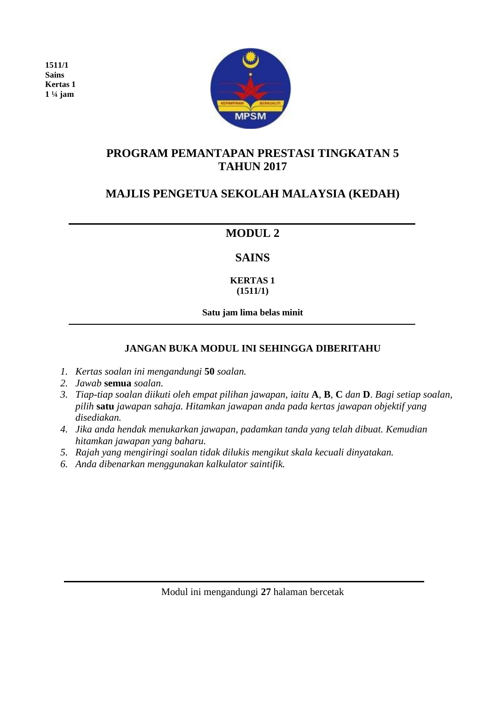**1511/1 Sains Kertas 1 1 ¼ jam** 



## **PROGRAM PEMANTAPAN PRESTASI TINGKATAN 5 TAHUN 2017**

# **MAJLIS PENGETUA SEKOLAH MALAYSIA (KEDAH)**

# **MODUL 2**

## **SAINS**

#### **KERTAS 1 (1511/1)**

**Satu jam lima belas minit**

### **JANGAN BUKA MODUL INI SEHINGGA DIBERITAHU**

- *1. Kertas soalan ini mengandungi* **50** *soalan.*
- *2. Jawab* **semua** *soalan.*
- *3. Tiap-tiap soalan diikuti oleh empat pilihan jawapan, iaitu* **A***,* **B***,* **C** *dan* **D**. *Bagi setiap soalan, pilih* **satu** *jawapan sahaja. Hitamkan jawapan anda pada kertas jawapan objektif yang disediakan.*
- *4. Jika anda hendak menukarkan jawapan, padamkan tanda yang telah dibuat. Kemudian hitamkan jawapan yang baharu.*
- *5. Rajah yang mengiringi soalan tidak dilukis mengikut skala kecuali dinyatakan.*
- *6. Anda dibenarkan menggunakan kalkulator saintifik.*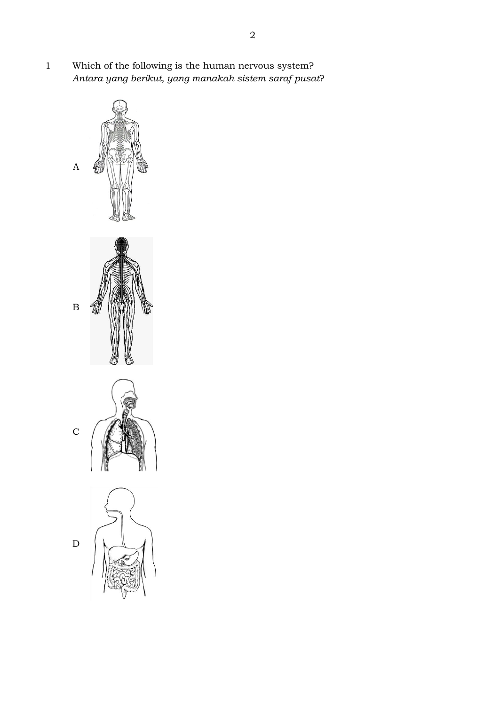1 Which of the following is the human nervous system? *Antara yang berikut, yang manakah sistem saraf pusat*?







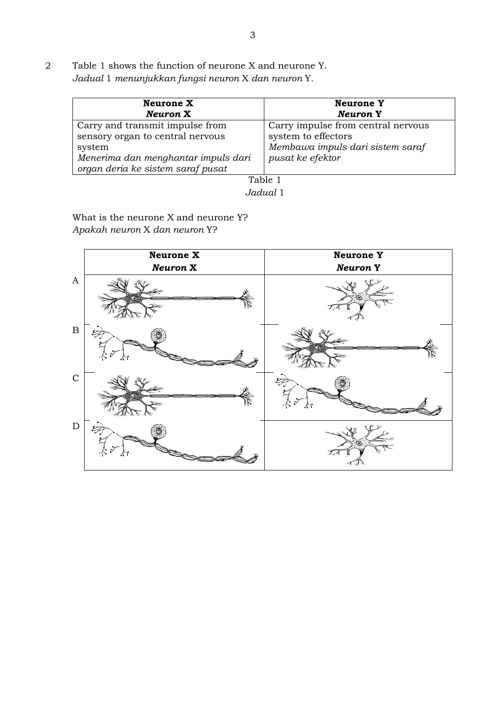2 Table 1 shows the function of neurone X and neurone Y. *Jadual* 1 *menunjukkan fungsi neuron* X *dan neuron* Y*.*

| <b>Neurone Y</b><br><b>Neuron</b> Y                                                                               |
|-------------------------------------------------------------------------------------------------------------------|
| Carry impulse from central nervous<br>system to effectors<br>Membawa impuls dari sistem saraf<br>pusat ke efektor |
|                                                                                                                   |

*Jadual* 1

What is the neurone X and neurone Y? *Apakah neuron* X *dan neuron* Y?

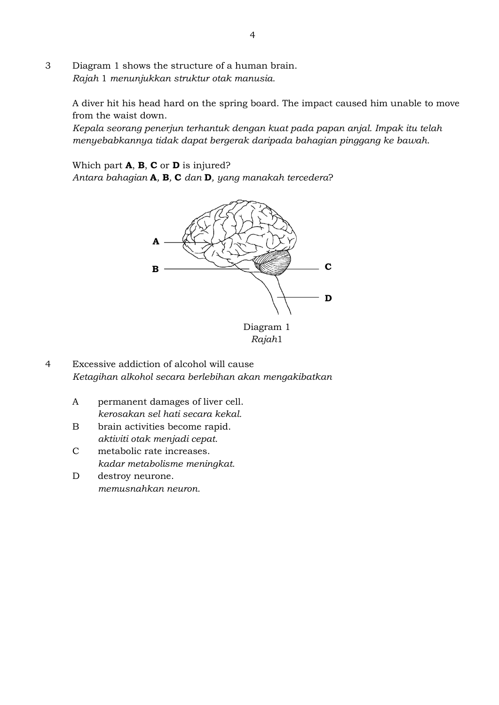3 Diagram 1 shows the structure of a human brain. *Rajah* 1 *menunjukkan struktur otak manusia.*

> A diver hit his head hard on the spring board. The impact caused him unable to move from the waist down.

*Kepala seorang penerjun terhantuk dengan kuat pada papan anjal. Impak itu telah menyebabkannya tidak dapat bergerak daripada bahagian pinggang ke bawah.*

Which part **A**, **B**, **C** or **D** is injured?

*Antara bahagian* **A***,* **B***,* **C** *dan* **D***, yang manakah tercedera*?



*Rajah*1

- 4 Excessive addiction of alcohol will cause *Ketagihan alkohol secara berlebihan akan mengakibatkan*
	- A permanent damages of liver cell. *kerosakan sel hati secara kekal.*
	- B brain activities become rapid. *aktiviti otak menjadi cepat.*
	- C metabolic rate increases. *kadar metabolisme meningkat.*
	- D destroy neurone. *memusnahkan neuron.*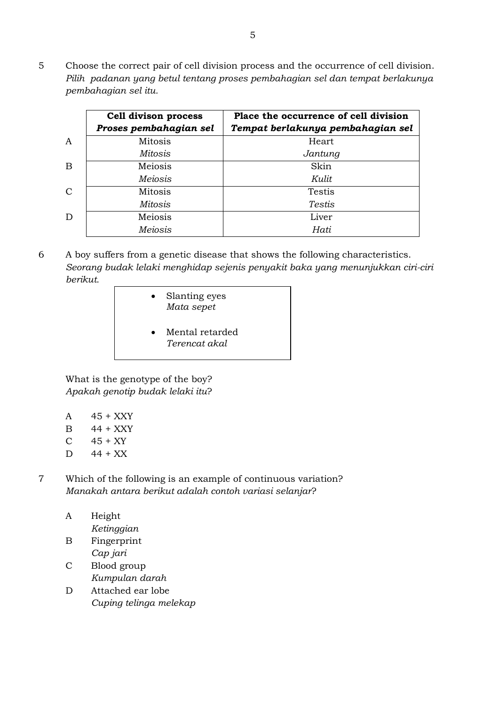5 Choose the correct pair of cell division process and the occurrence of cell division. *Pilih padanan yang betul tentang proses pembahagian sel dan tempat berlakunya pembahagian sel itu.*

|               | <b>Cell divison process</b><br>Proses pembahagian sel | Place the occurrence of cell division<br>Tempat berlakunya pembahagian sel |
|---------------|-------------------------------------------------------|----------------------------------------------------------------------------|
| A             | Mitosis                                               | Heart                                                                      |
|               | Mitosis                                               | Jantung                                                                    |
| B             | Meiosis                                               | Skin                                                                       |
|               | <b>Meiosis</b>                                        | Kulit                                                                      |
| $\mathcal{C}$ | Mitosis                                               | <b>Testis</b>                                                              |
|               | Mitosis                                               | Testis                                                                     |
| D             | Meiosis                                               | Liver                                                                      |
|               | <b>Meiosis</b>                                        | Hati                                                                       |

- 6 A boy suffers from a genetic disease that shows the following characteristics. *Seorang budak lelaki menghidap sejenis penyakit baka yang menunjukkan ciri-ciri berikut.*
	- Slanting eyes *Mata sepet*
	- Mental retarded *Terencat akal*

What is the genotype of the boy? *Apakah genotip budak lelaki itu*?

- A 45 + XXY
- B 44 + XXY
- $C \t 45 + XY$
- $D$  44 + XX
- 7 Which of the following is an example of continuous variation? *Manakah antara berikut adalah contoh variasi selanjar*?
	- A Height *Ketinggian*  B Fingerprint
	- *Cap jari* C Blood group *Kumpulan darah*
	- D Attached ear lobe *Cuping telinga melekap*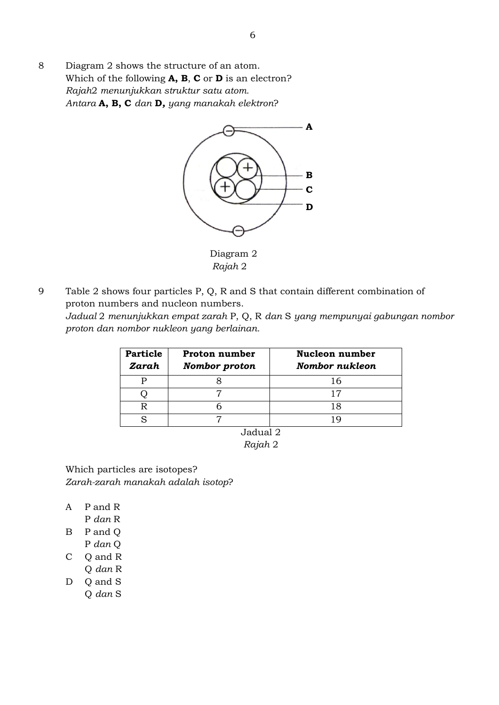8 Diagram 2 shows the structure of an atom. Which of the following **A, B**, **C** or **D** is an electron? *Rajah*2 *menunjukkan struktur satu atom. Antara* **A, B, C** *dan* **D***, yang manakah elektron*?



 Diagram 2  *Rajah* 2

9 Table 2 shows four particles P, Q, R and S that contain different combination of proton numbers and nucleon numbers. *Jadual* 2 *menunjukkan empat zarah* P, Q, R *dan* S *yang mempunyai gabungan nombor proton dan nombor nukleon yang berlainan.*

| <b>Particle</b><br>Zarah | Proton number<br>Nombor proton | Nucleon number<br>Nombor nukleon |
|--------------------------|--------------------------------|----------------------------------|
|                          |                                | 16                               |
|                          |                                |                                  |
|                          |                                | .8                               |
|                          |                                |                                  |

Jadual 2 *Rajah* 2

Which particles are isotopes? *Zarah-zarah manakah adalah isotop*?

- A P and R
	- P *dan* R
- B P and Q
- P *dan* Q
- C Q and R
- Q *dan* R D Q and S
	- Q *dan* S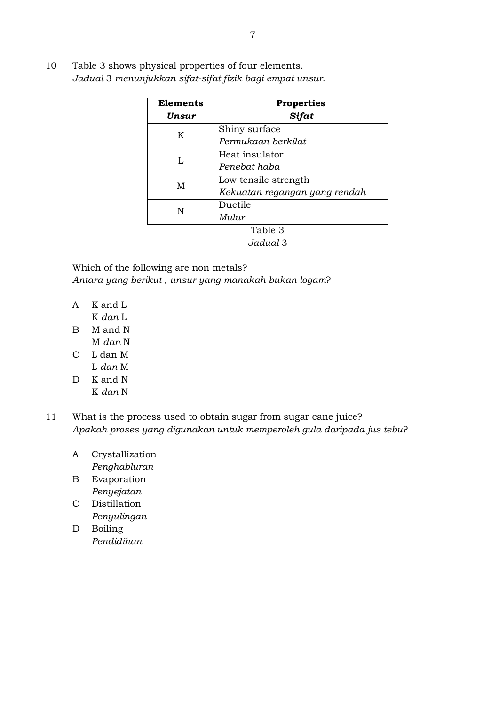10 Table 3 shows physical properties of four elements. *Jadual* 3 *menunjukkan sifat-sifat fizik bagi empat unsur.*

| Elements | <b>Properties</b>             |  |
|----------|-------------------------------|--|
| Unsur    | Sifat                         |  |
| K        | Shiny surface                 |  |
|          | Permukaan berkilat            |  |
| L        | Heat insulator                |  |
|          | Penebat haba                  |  |
| М        | Low tensile strength          |  |
|          | Kekuatan regangan yang rendah |  |
| N        | Ductile                       |  |
|          | Mulur                         |  |
|          | Table 3                       |  |

*Jadual* 3

Which of the following are non metals? *Antara yang berikut , unsur yang manakah bukan logam*?

- A K and L
- K *dan* L
- B M and N M *dan* N
- C L dan M
	- L *dan* M
- D K and N K *dan* N
- 11 What is the process used to obtain sugar from sugar cane juice? *Apakah proses yang digunakan untuk memperoleh gula daripada jus tebu*?
	- A Crystallization *Penghabluran*
	- B Evaporation *Penyejatan*
	- C Distillation *Penyulingan*
	- D Boiling *Pendidihan*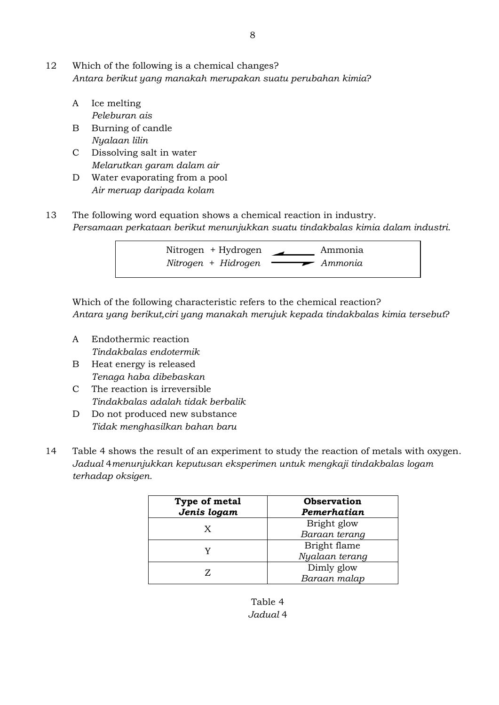- 12 Which of the following is a chemical changes? *Antara berikut yang manakah merupakan suatu perubahan kimia*?
	- A Ice melting *Peleburan ais*
	- B Burning of candle *Nyalaan lilin*
	- C Dissolving salt in water *Melarutkan garam dalam air*
	- D Water evaporating from a pool *Air meruap daripada kolam*
- 13 The following word equation shows a chemical reaction in industry. *Persamaan perkataan berikut menunjukkan suatu tindakbalas kimia dalam industri*.



Which of the following characteristic refers to the chemical reaction? *Antara yang berikut,ciri yang manakah merujuk kepada tindakbalas kimia tersebut*?

- A Endothermic reaction *Tindakbalas endotermik*
- B Heat energy is released *Tenaga haba dibebaskan*
- C The reaction is irreversible *Tindakbalas adalah tidak berbalik*
- D Do not produced new substance *Tidak menghasilkan bahan baru*
- 14 Table 4 shows the result of an experiment to study the reaction of metals with oxygen. *Jadual* 4*menunjukkan keputusan eksperimen untuk mengkaji tindakbalas logam terhadap oksigen.*

| Type of metal<br>Jenis logam | <b>Observation</b><br>Pemerhatian |
|------------------------------|-----------------------------------|
| X                            | Bright glow                       |
|                              | Baraan terang                     |
|                              | Bright flame                      |
|                              | Nyalaan terang                    |
|                              | Dimly glow                        |
|                              | Baraan malap                      |

Table 4 *Jadual* 4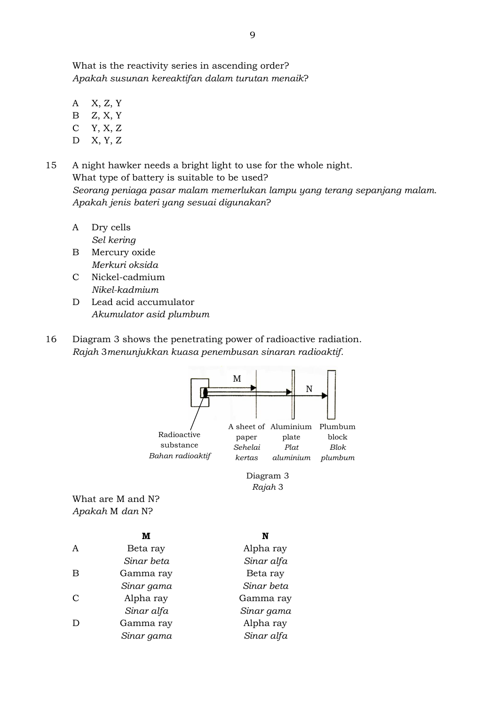What is the reactivity series in ascending order? *Apakah susunan kereaktifan dalam turutan menaik*?

- A X, Z, Y
- B Z, X, Y
- C Y, X, Z
- D X, Y, Z

15 A night hawker needs a bright light to use for the whole night. What type of battery is suitable to be used? *Seorang peniaga pasar malam memerlukan lampu yang terang sepanjang malam. Apakah jenis bateri yang sesuai digunakan*?

- A Dry cells *Sel kering*
- B Mercury oxide *Merkuri oksida*
- C Nickel-cadmium *Nikel-kadmium*
- D Lead acid accumulator *Akumulator asid plumbum*
- 16 Diagram 3 shows the penetrating power of radioactive radiation. *Rajah* 3*menunjukkan kuasa penembusan sinaran radioaktif.*



*Sinar gama*

Alpha ray *Sinar alfa*

*Sinar alfa* D Gamma ray *Sinar gama*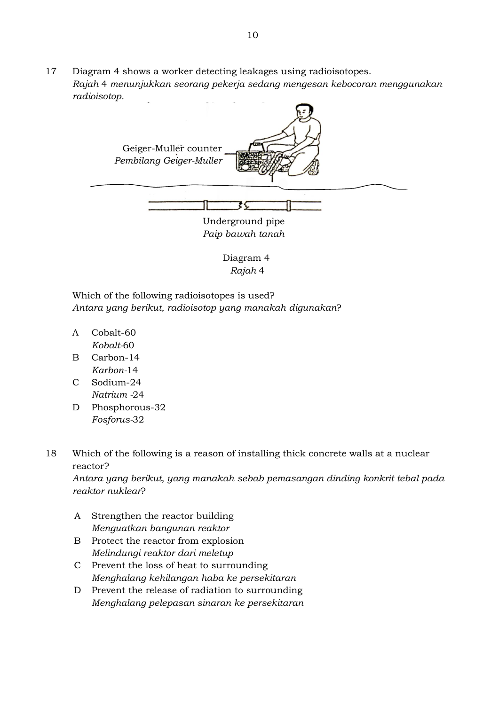17 Diagram 4 shows a worker detecting leakages using radioisotopes. *Rajah* 4 *menunjukkan seorang pekerja sedang mengesan kebocoran menggunakan radioisotop.*



 Diagram 4  *Rajah* 4

Which of the following radioisotopes is used? *Antara yang berikut, radioisotop yang manakah digunakan*?

- A Cobalt-60 *Kobalt-*60
- B Carbon-14 *Karbon-*14
- C Sodium-24 *Natrium -*24
- D Phosphorous-32 *Fosforus-*32

18 Which of the following is a reason of installing thick concrete walls at a nuclear reactor?

*Antara yang berikut, yang manakah sebab pemasangan dinding konkrit tebal pada reaktor nuklear*?

- A Strengthen the reactor building *Menguatkan bangunan reaktor*
- B Protect the reactor from explosion *Melindungi reaktor dari meletup*
- C Prevent the loss of heat to surrounding *Menghalang kehilangan haba ke persekitaran*
- D Prevent the release of radiation to surrounding *Menghalang pelepasan sinaran ke persekitaran*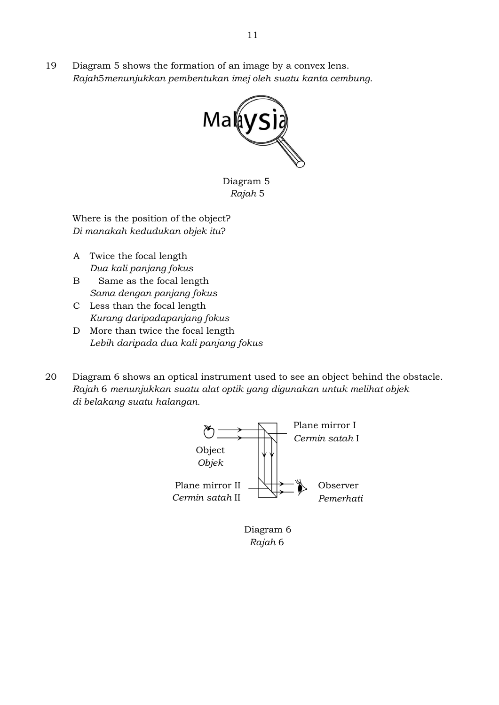19 Diagram 5 shows the formation of an image by a convex lens. *Rajah*5*menunjukkan pembentukan imej oleh suatu kanta cembung.*



 Diagram 5  *Rajah* 5

Where is the position of the object? *Di manakah kedudukan objek itu*?

- A Twice the focal length *Dua kali panjang fokus*
- B Same as the focal length *Sama dengan panjang fokus*
- C Less than the focal length *Kurang daripadapanjang fokus*
- D More than twice the focal length *Lebih daripada dua kali panjang fokus*
- 20 Diagram 6 shows an optical instrument used to see an object behind the obstacle. *Rajah* 6 *menunjukkan suatu alat optik yang digunakan untuk melihat objek di belakang suatu halangan.*



 *Rajah* 6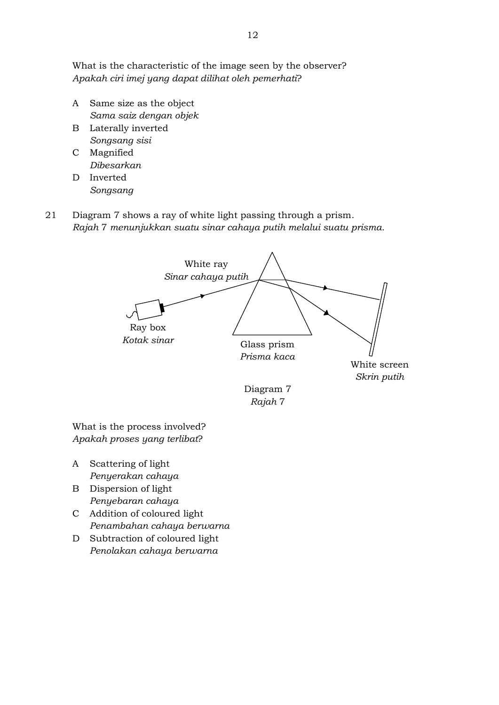What is the characteristic of the image seen by the observer? *Apakah ciri imej yang dapat dilihat oleh pemerhati*?

- A Same size as the object *Sama saiz dengan objek*
- B Laterally inverted *Songsang sisi*
- C Magnified *Dibesarkan*
- D Inverted *Songsang*
- 21 Diagram 7 shows a ray of white light passing through a prism. *Rajah* 7 *menunjukkan suatu sinar cahaya putih melalui suatu prisma.*



What is the process involved? *Apakah proses yang terlibat*?

- A Scattering of light *Penyerakan cahaya*
- B Dispersion of light *Penyebaran cahaya*
- C Addition of coloured light *Penambahan cahaya berwarna*
- D Subtraction of coloured light *Penolakan cahaya berwarna*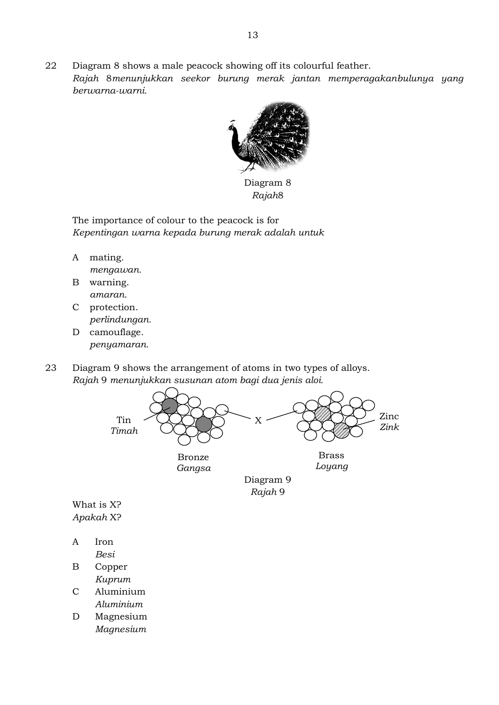22 Diagram 8 shows a male peacock showing off its colourful feather. *Rajah* 8*menunjukkan seekor burung merak jantan memperagakanbulunya yang berwarna-warni.*



Diagram 8 *Rajah*8

The importance of colour to the peacock is for *Kepentingan warna kepada burung merak adalah untuk*

- A mating. *mengawan.*
- B warning. *amaran*.
- C protection. *perlindungan.*
- D camouflage. *penyamaran.*

23 Diagram 9 shows the arrangement of atoms in two types of alloys. *Rajah* 9 *menunjukkan susunan atom bagi dua jenis aloi.*



What is X? *Apakah* X?

- A Iron *Besi*
- B Copper *Kuprum*
- C Aluminium *Aluminium*
- D Magnesium *Magnesium*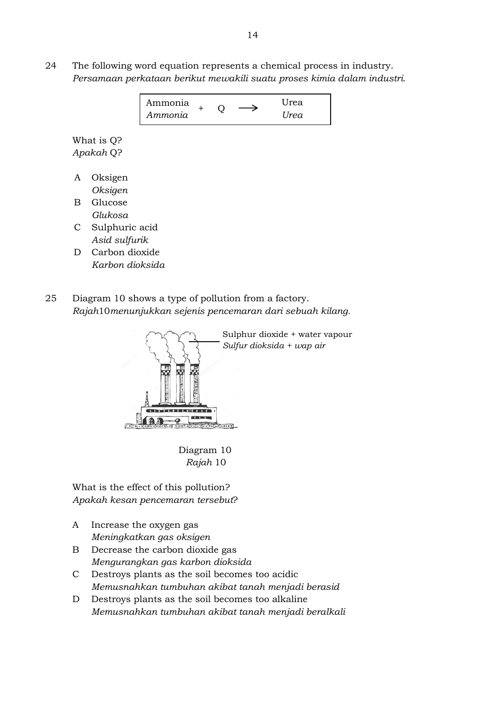24 The following word equation represents a chemical process in industry. *Persamaan perkataan berikut mewakili suatu proses kimia dalam industri.*

| Ammonia |  | Urea |
|---------|--|------|
| Ammonia |  | Urea |

What is Q? *Apakah* Q?

- A Oksigen *Oksigen*
- B Glucose *Glukosa*
- C Sulphuric acid *Asid sulfurik*
- D Carbon dioxide *Karbon dioksida*
- 25 Diagram 10 shows a type of pollution from a factory. *Rajah*10*menunjukkan sejenis pencemaran dari sebuah kilang.*



 Diagram 10  *Rajah* 10

What is the effect of this pollution? *Apakah kesan pencemaran tersebut*?

- A Increase the oxygen gas *Meningkatkan gas oksigen*
- B Decrease the carbon dioxide gas *Mengurangkan gas karbon dioksida*
- C Destroys plants as the soil becomes too acidic *Memusnahkan tumbuhan akibat tanah menjadi berasid*
- D Destroys plants as the soil becomes too alkaline *Memusnahkan tumbuhan akibat tanah menjadi beralkali*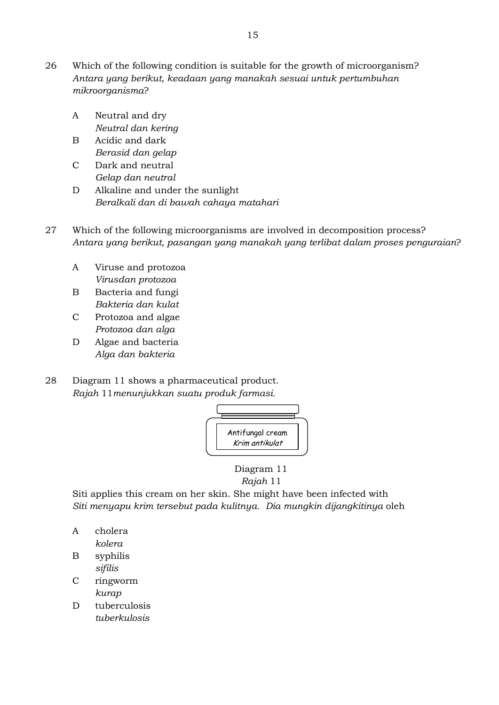- 26 Which of the following condition is suitable for the growth of microorganism? *Antara yang berikut, keadaan yang manakah sesuai untuk pertumbuhan mikroorganisma*?
	- A Neutral and dry *Neutral dan kering*
	- B Acidic and dark *Berasid dan gelap*
	- C Dark and neutral *Gelap dan neutral*
	- D Alkaline and under the sunlight *Beralkali dan di bawah cahaya matahari*
- 27 Which of the following microorganisms are involved in decomposition process? *Antara yang berikut, pasangan yang manakah yang terlibat dalam proses penguraian*?
	- A Viruse and protozoa *Virusdan protozoa*
	- B Bacteria and fungi *Bakteria dan kulat*
	- C Protozoa and algae *Protozoa dan alga*
	- D Algae and bacteria *Alga dan bakteria*
- 28 Diagram 11 shows a pharmaceutical product. *Rajah* 11*menunjukkan suatu produk farmasi.*



 Diagram 11  *Rajah* 11

Siti applies this cream on her skin. She might have been infected with *Siti menyapu krim tersebut pada kulitnya. Dia mungkin dijangkitinya* oleh

- A cholera *kolera*
- B syphilis *sifilis*
- C ringworm *kurap*
- D tuberculosis *tuberkulosis*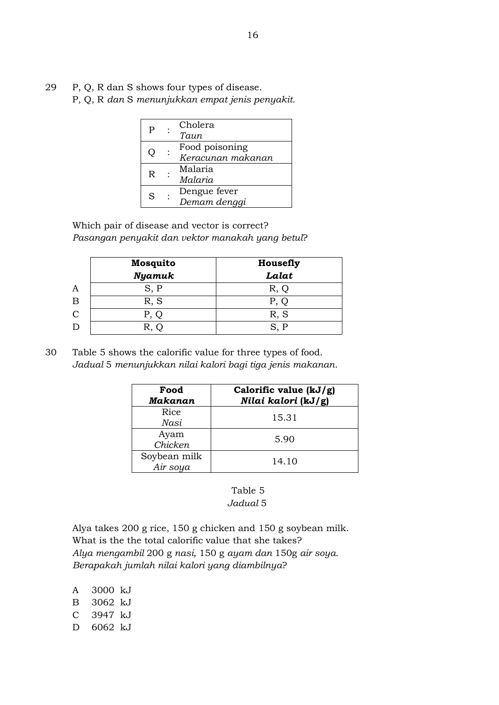29 P, Q, R dan S shows four types of disease.

P, Q, R *dan* S *menunjukkan empat jenis penyakit.*

| P  | Cholera<br>Taun                     |
|----|-------------------------------------|
| O) | Food poisoning<br>Keracunan makanan |
| R  | Malaria<br>Malaria                  |
| S  | Dengue fever<br>Demam denggi        |

Which pair of disease and vector is correct? *Pasangan penyakit dan vektor manakah yang betul*?

|                | <b>Mosquito</b> | Housefly |  |
|----------------|-----------------|----------|--|
|                | <b>Nyamuk</b>   | Lalat    |  |
| A              |                 | R. O     |  |
| Β              | R, S            | P, O     |  |
| $\overline{C}$ |                 | R, S     |  |
| D              |                 | SP       |  |

30 Table 5 shows the calorific value for three types of food. *Jadual* 5 *menunjukkan nilai kalori bagi tiga jenis makanan*.

| Food<br><b>Makanan</b>   | Calorific value (kJ/g)<br>Nilai kalori (kJ/g) |
|--------------------------|-----------------------------------------------|
| Rice<br>Nasi             | 15.31                                         |
| Ayam<br>Chicken          | 5.90                                          |
| Soybean milk<br>Air soya | 14.10                                         |

#### Table 5  *Jadual* 5

Alya takes 200 g rice, 150 g chicken and 150 g soybean milk. What is the the total calorific value that she takes? *Alya mengambil* 200 g *nasi,* 150 g *ayam dan* 150g *air soya. Berapakah jumlah nilai kalori yang diambilnya*?

A 3000 kJ B 3062 kJ C 3947 kJ D 6062 kJ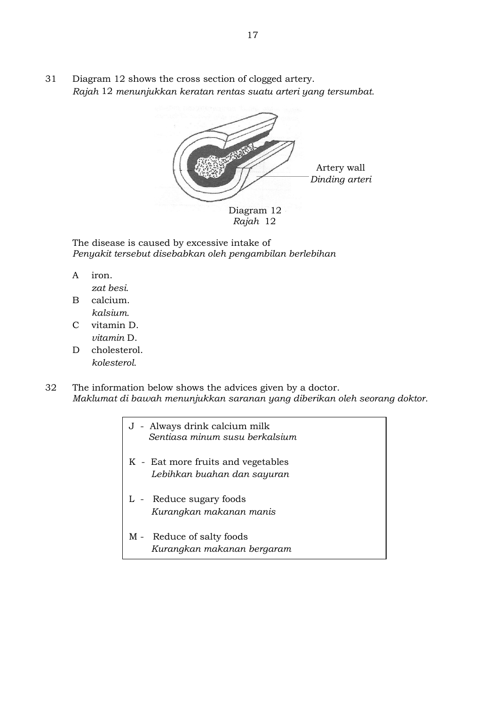31 Diagram 12 shows the cross section of clogged artery. *Rajah* 12 *menunjukkan keratan rentas suatu arteri yang tersumbat.*



The disease is caused by excessive intake of *Penyakit tersebut disebabkan oleh pengambilan berlebihan*

A iron.

*zat besi.*

- B calcium. *kalsium.*
- C vitamin D. *vitamin* D.
- D cholesterol. *kolesterol.*

32 The information below shows the advices given by a doctor. *Maklumat di bawah menunjukkan saranan yang diberikan oleh seorang doktor.*

- J Always drink calcium milk  *Sentiasa minum susu berkalsium*
- K Eat more fruits and vegetables  *Lebihkan buahan dan sayuran*
- L Reduce sugary foods  *Kurangkan makanan manis*
- M Reduce of salty foods  *Kurangkan makanan bergaram*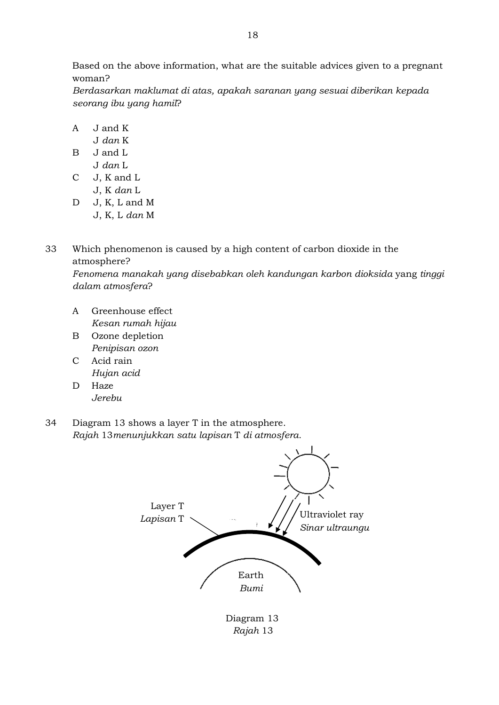Based on the above information, what are the suitable advices given to a pregnant woman?

*Berdasarkan maklumat di atas, apakah saranan yang sesuai diberikan kepada seorang ibu yang hamil*?

- A J and K
	- J *dan* K
- B J and L J *dan* L
- C J, K and L J, K *dan* L
- D J, K, L and M J, K, L *dan* M
- 33 Which phenomenon is caused by a high content of carbon dioxide in the atmosphere? *Fenomena manakah yang disebabkan oleh kandungan karbon dioksida* yang *tinggi dalam atmosfera*?
	- A Greenhouse effect *Kesan rumah hijau*
	- B Ozone depletion *Penipisan ozon*
	- C Acid rain *Hujan acid*
	- D Haze *Jerebu*
- 34 Diagram 13 shows a layer T in the atmosphere. *Rajah* 13*menunjukkan satu lapisan* T *di atmosfera.*



 Diagram 13  *Rajah* 13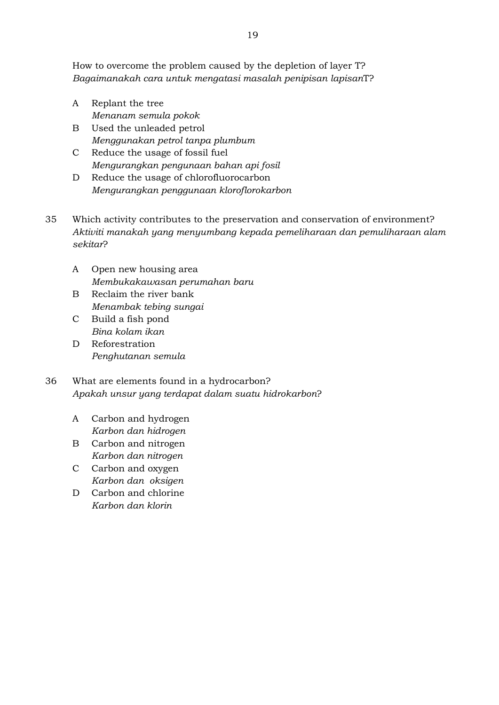How to overcome the problem caused by the depletion of layer T? *Bagaimanakah cara untuk mengatasi masalah penipisan lapisan*T?

- A Replant the tree *Menanam semula pokok*
- B Used the unleaded petrol *Menggunakan petrol tanpa plumbum*
- C Reduce the usage of fossil fuel *Mengurangkan pengunaan bahan api fosil*
- D Reduce the usage of chlorofluorocarbon *Mengurangkan penggunaan kloroflorokarbon*
- 35 Which activity contributes to the preservation and conservation of environment? *Aktiviti manakah yang menyumbang kepada pemeliharaan dan pemuliharaan alam sekitar*?
	- A Open new housing area *Membukakawasan perumahan baru*
	- B Reclaim the river bank *Menambak tebing sungai*
	- C Build a fish pond *Bina kolam ikan*
	- D Reforestration *Penghutanan semula*
- 36 What are elements found in a hydrocarbon? *Apakah unsur yang terdapat dalam suatu hidrokarbon*?
	- A Carbon and hydrogen *Karbon dan hidrogen*
	- B Carbon and nitrogen *Karbon dan nitrogen*
	- C Carbon and oxygen *Karbon dan oksigen*
	- D Carbon and chlorine *Karbon dan klorin*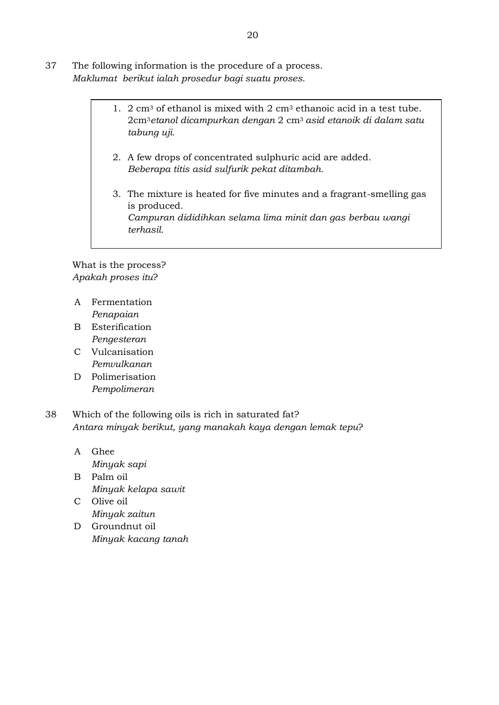- 37 The following information is the procedure of a process. *Maklumat berikut ialah prosedur bagi suatu proses.*
	- 1.  $2 \text{ cm}^3$  of ethanol is mixed with  $2 \text{ cm}^3$  ethanoic acid in a test tube. 2cm3*etanol dicampurkan dengan* 2 cm3 *asid etanoik di dalam satu tabung uji.*
		- 2. A few drops of concentrated sulphuric acid are added. *Beberapa titis asid sulfurik pekat ditambah.*
		- 3. The mixture is heated for five minutes and a fragrant-smelling gas is produced. *Campuran dididihkan selama lima minit dan gas berbau wangi terhasil.*

What is the process? *Apakah proses itu*?

- A Fermentation *Penapaian*
- B Esterification *Pengesteran*
- C Vulcanisation *Pemvulkanan*
- D Polimerisation *Pempolimeran*
- 38 Which of the following oils is rich in saturated fat? *Antara minyak berikut, yang manakah kaya dengan lemak tepu*?
	- A Ghee *Minyak sapi*
	- B Palm oil *Minyak kelapa sawit*
	- C Olive oil *Minyak zaitun* D Groundnut oil
	- *Minyak kacang tanah*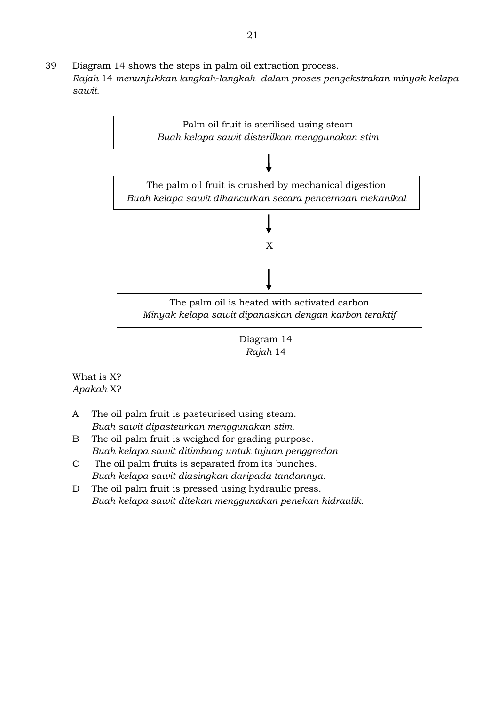39 Diagram 14 shows the steps in palm oil extraction process. *Rajah* 14 *menunjukkan langkah*-*langkah dalam proses pengekstrakan minyak kelapa sawit.*





What is X? *Apakah* X?

- A The oil palm fruit is pasteurised using steam. *Buah sawit dipasteurkan menggunakan stim.*
- B The oil palm fruit is weighed for grading purpose. *Buah kelapa sawit ditimbang untuk tujuan penggredan*
- C The oil palm fruits is separated from its bunches. *Buah kelapa sawit diasingkan daripada tandannya.*
- D The oil palm fruit is pressed using hydraulic press. *Buah kelapa sawit ditekan menggunakan penekan hidraulik.*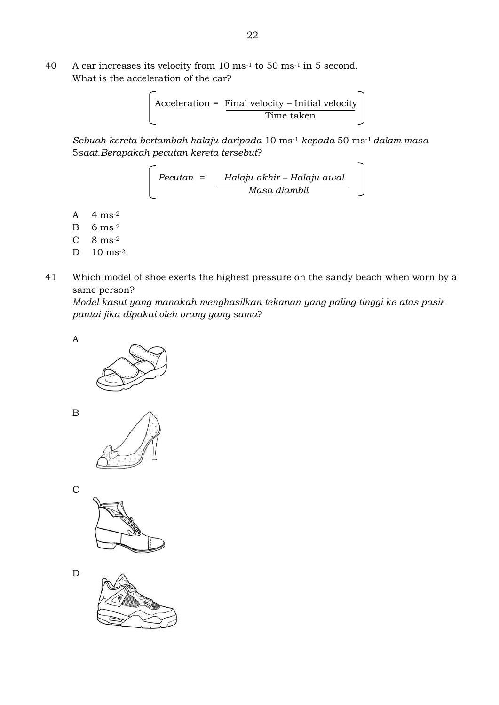40 A car increases its velocity from 10 ms-1 to 50 ms-1 in 5 second. What is the acceleration of the car?

 Acceleration = Final velocity – Initial velocity Time taken

*Sebuah kereta bertambah halaju daripada* 10 ms-1 *kepada* 50 ms-1 *dalam masa*  5*saat.Berapakah pecutan kereta tersebut*?

 *Pecutan = Halaju akhir – Halaju awal Masa diambil*

- A 4 ms-2
- $B = 6$  ms<sup>-2</sup>
- $C \quad 8 \text{ ms}^{-2}$
- D 10 ms-2
- 41 Which model of shoe exerts the highest pressure on the sandy beach when worn by a same person?

*Model kasut yang manakah menghasilkan tekanan yang paling tinggi ke atas pasir pantai jika dipakai oleh orang yang sama*?

A







C



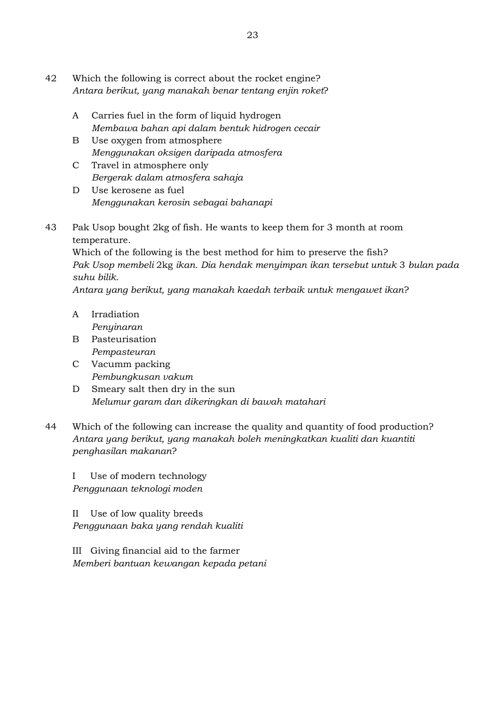- 42 Which the following is correct about the rocket engine? *Antara berikut, yang manakah benar tentang enjin roket*?
	- A Carries fuel in the form of liquid hydrogen *Membawa bahan api dalam bentuk hidrogen cecair*
	- B Use oxygen from atmosphere *Menggunakan oksigen daripada atmosfera*
	- C Travel in atmosphere only *Bergerak dalam atmosfera sahaja*
	- D Use kerosene as fuel *Menggunakan kerosin sebagai bahanapi*
- 43 Pak Usop bought 2kg of fish. He wants to keep them for 3 month at room temperature.

Which of the following is the best method for him to preserve the fish? *Pak Usop membeli* 2kg *ikan. Dia hendak menyimpan ikan tersebut untuk* 3 *bulan pada suhu bilik.*

*Antara yang berikut, yang manakah kaedah terbaik untuk mengawet ikan*?

- A Irradiation *Penyinaran*
- B Pasteurisation *Pempasteuran*
- C Vacumm packing *Pembungkusan vakum*
- D Smeary salt then dry in the sun *Melumur garam dan dikeringkan di bawah matahari*
- 44 Which of the following can increase the quality and quantity of food production? *Antara yang berikut, yang manakah boleh meningkatkan kualiti dan kuantiti penghasilan makanan*?

I Use of modern technology *Penggunaan teknologi moden*

II Use of low quality breeds *Penggunaan baka yang rendah kualiti*

III Giving financial aid to the farmer *Memberi bantuan kewangan kepada petani*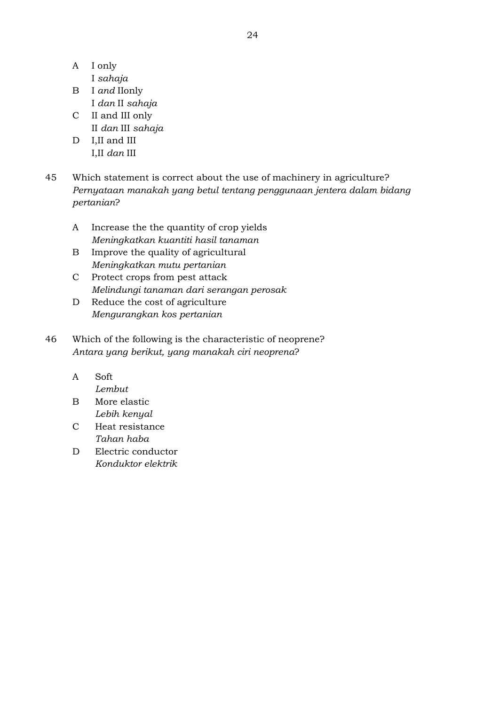- A I only
	- I *sahaja*
- B I *and* IIonly I *dan* II *sahaja*
- C II and III only II *dan* III *sahaja*
- D I, II and III I,II *dan* III
- 45 Which statement is correct about the use of machinery in agriculture? *Pernyataan manakah yang betul tentang penggunaan jentera dalam bidang pertanian*?
	- A Increase the the quantity of crop yields *Meningkatkan kuantiti hasil tanaman*
	- B Improve the quality of agricultural *Meningkatkan mutu pertanian*
	- C Protect crops from pest attack *Melindungi tanaman dari serangan perosak*
	- D Reduce the cost of agriculture *Mengurangkan kos pertanian*
- 46 Which of the following is the characteristic of neoprene? *Antara yang berikut, yang manakah ciri neoprena*?
	- A Soft

*Lembut*

- B More elastic *Lebih kenyal*
- C Heat resistance *Tahan haba*
- D Electric conductor *Konduktor elektrik*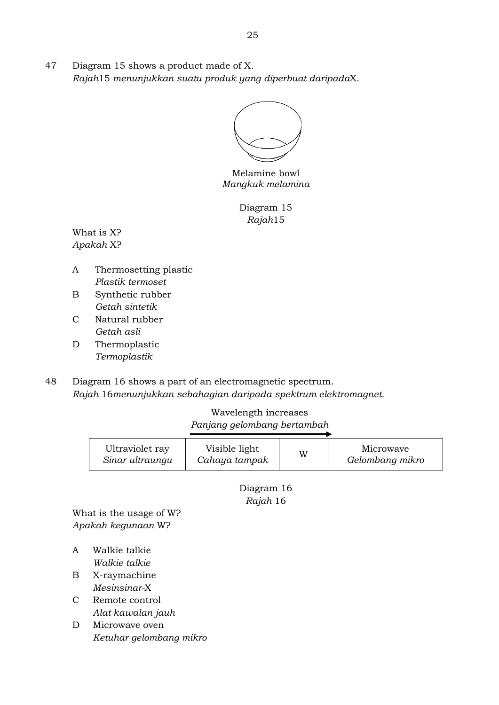47 Diagram 15 shows a product made of X. *Rajah*15 *menunjukkan suatu produk yang diperbuat daripada*X.

Melamine bowl *Mangkuk melamina*

Diagram 15 *Rajah*15

What is X? *Apakah* X?

- A Thermosetting plastic *Plastik termoset*
- B Synthetic rubber *Getah sintetik*
- C Natural rubber *Getah asli*
- D Thermoplastic *Termoplastik*
- 48 Diagram 16 shows a part of an electromagnetic spectrum. *Rajah* 16*menunjukkan sebahagian daripada spektrum elektromagnet.*

### Wavelength increases *Panjang gelombang bertambah*

| Ultraviolet ray | Visible light | W | Microwave       |
|-----------------|---------------|---|-----------------|
| Sinar ultraungu | Cahaya tampak |   | Gelombang mikro |
|                 |               |   |                 |

Diagram 16 *Rajah* 16

What is the usage of W? *Apakah kegunaan* W?

- A Walkie talkie *Walkie talkie*
- B X-raymachine *Mesinsinar-*X
- C Remote control *Alat kawalan jauh*
- D Microwave oven *Ketuhar gelombang mikro*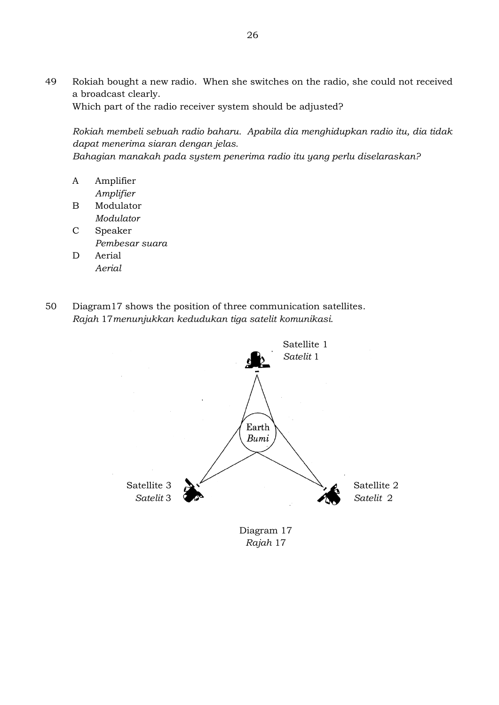49 Rokiah bought a new radio. When she switches on the radio, she could not received a broadcast clearly.

Which part of the radio receiver system should be adjusted?

*Rokiah membeli sebuah radio baharu. Apabila dia menghidupkan radio itu, dia tidak dapat menerima siaran dengan jelas.*

*Bahagian manakah pada system penerima radio itu yang perlu diselaraskan?*

- A Amplifier *Amplifier*
- B Modulator *Modulator*
- C Speaker *Pembesar suara*
- D Aerial *Aerial*
- 50 Diagram17 shows the position of three communication satellites. *Rajah* 17*menunjukkan kedudukan tiga satelit komunikasi.*